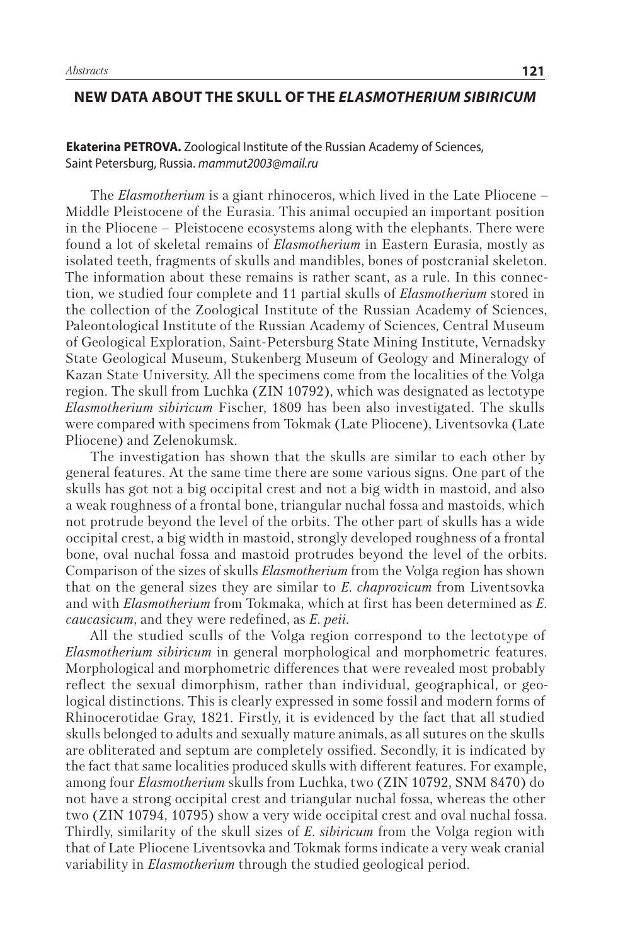## **NEW DATA ABOUT THE SKULL OF THE** *ELASMOTHERIUM SIBIRICUM*

**Ekaterina PETROVA.** Zoological Institute of the Russian Academy of Sciences, Saint Petersburg, Russia. *mammut2003@mail.ru*

The *Elasmotherium* is a giant rhinoceros, which lived in the Late Pliocene – Middle Pleistocene of the Eurasia. This animal occupied an important position in the Pliocene – Pleistocene ecosystems along with the elephants. There were found a lot of skeletal remains of *Elasmotherium* in Eastern Eurasia, mostly as isolated teeth, fragments of skulls and mandibles, bones of postcranial skeleton. The information about these remains is rather scant, as a rule. In this connection, we studied four complete and 11 partial skulls of *Elasmotherium* stored in the collection of the Zoological Institute of the Russian Academy of Sciences, Paleontological Institute of the Russian Academy of Sciences, Central Museum of Geological Exploration, Saint-Petersburg State Mining Institute, Vernadsky State Geological Museum, Stukenberg Museum of Geology and Mineralogy of Kazan State University. All the specimens come from the localities of the Volga region. The skull from Luchka (ZIN 10792), which was designated as lectotype *Elasmotherium sibiricum* Fischer, 1809 has been also investigated. The skulls were compared with specimens from Tokmak (Late Pliocene), Liventsovka (Late Pliocene) and Zelenokumsk.

The investigation has shown that the skulls are similar to each other by general features. At the same time there are some various signs. One part of the skulls has got not a big occipital crest and not a big width in mastoid, and also a weak roughness of a frontal bone, triangular nuchal fossa and mastoids, which not protrude beyond the level of the orbits. The other part of skulls has a wide occipital crest, a big width in mastoid, strongly developed roughness of a frontal bone, oval nuchal fossa and mastoid protrudes beyond the level of the orbits. Comparison of the sizes of skulls *Elasmotherium* from the Volga region has shown that on the general sizes they are similar to *E*. *chaprovicum* from Liventsovka and with *Elasmotherium* from Tokmaka, which at first has been determined as *E*. *caucasicum*, and they were redefined, as *E*. *peii*.

All the studied sculls of the Volga region correspond to the lectotype of *Elasmotherium sibiricum* in general morphological and morphometric features. Morphological and morphometric differences that were revealed most probably reflect the sexual dimorphism, rather than individual, geographical, or geological distinctions. This is clearly expressed in some fossil and modern forms of Rhinocerotidae Gray, 1821. Firstly, it is evidenced by the fact that all studied skulls belonged to adults and sexually mature animals, as all sutures on the skulls are obliterated and septum are completely ossified. Secondly, it is indicated by the fact that same localities produced skulls with different features. For example, among four *Elasmotherium* skulls from Luchka, two (ZIN 10792, SNM 8470) do not have a strong occipital crest and triangular nuchal fossa, whereas the other two (ZIN 10794, 10795) show a very wide occipital crest and oval nuchal fossa. Thirdly, similarity of the skull sizes of *E*. *sibiricum* from the Volga region with that of Late Pliocene Liventsovka and Tokmak forms indicate a very weak cranial variability in *Elasmotherium* through the studied geological period.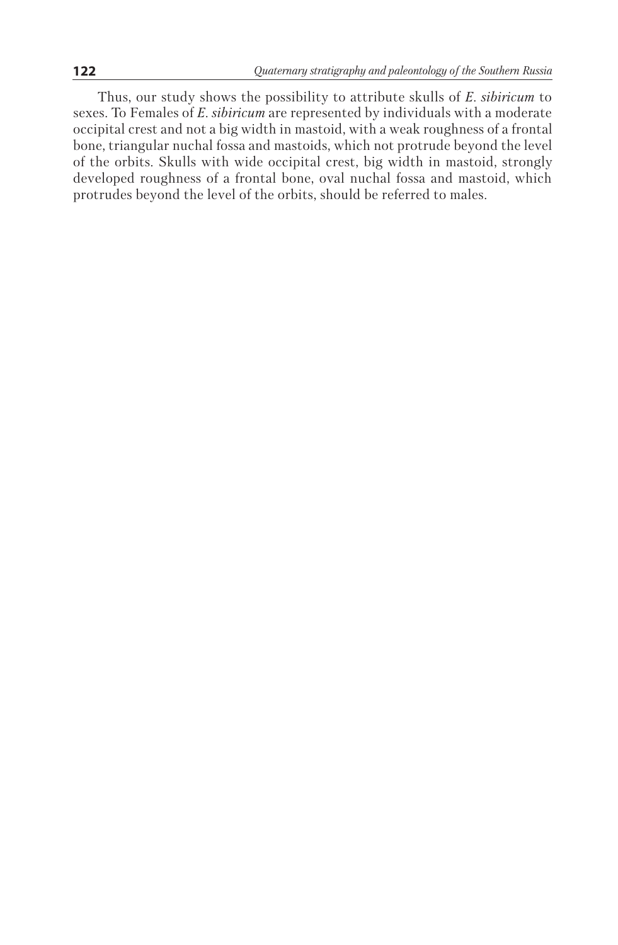Thus, our study shows the possibility to attribute skulls of *E. sibiricum* to sexes. To Females of *E. sibiricum* are represented by individuals with a moderate occipital crest and not a big width in mastoid, with a weak roughness of a frontal bone, triangular nuchal fossa and mastoids, which not protrude beyond the level of the orbits. Skulls with wide occipital crest, big width in mastoid, strongly developed roughness of a frontal bone, oval nuchal fossa and mastoid, which protrudes beyond the level of the orbits, should be referred to males.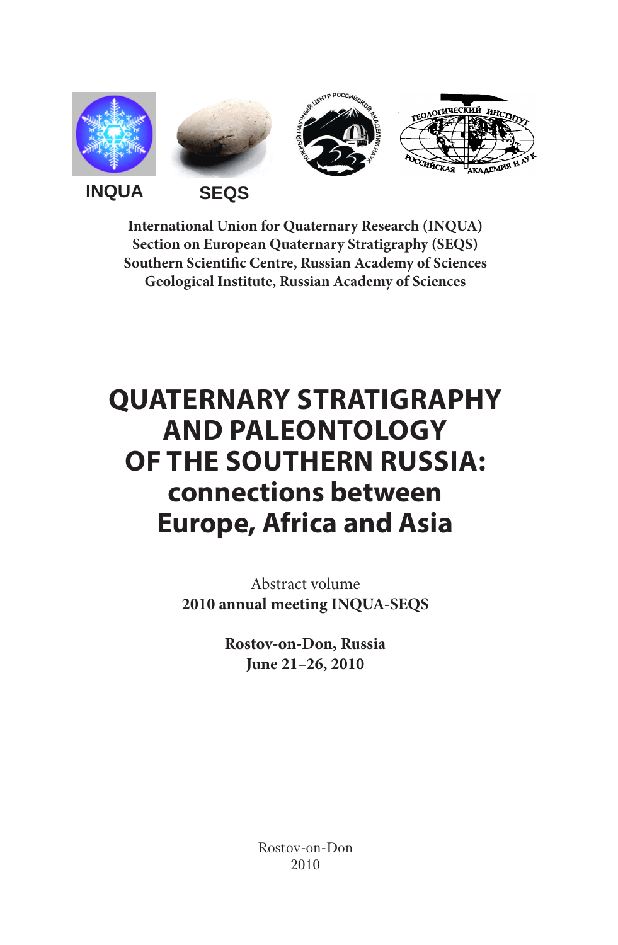

**International Union for Quaternary Research (INQUA) Section on European Quaternary Stratigraphy (SEQS) Southern Scientific Centre, Russian Academy of Sciences Geological Institute, Russian Academy of Sciences**

## **Quaternary stratigraphy and paleontology of the southern Russia: connections between Europe, Africa and Asia**

Abstract volume **2010 annual meeting INQUA-SEQS**

> **Rostov-on-Don, Russia June 21–26, 2010**

> > Rostov-on-Don 2010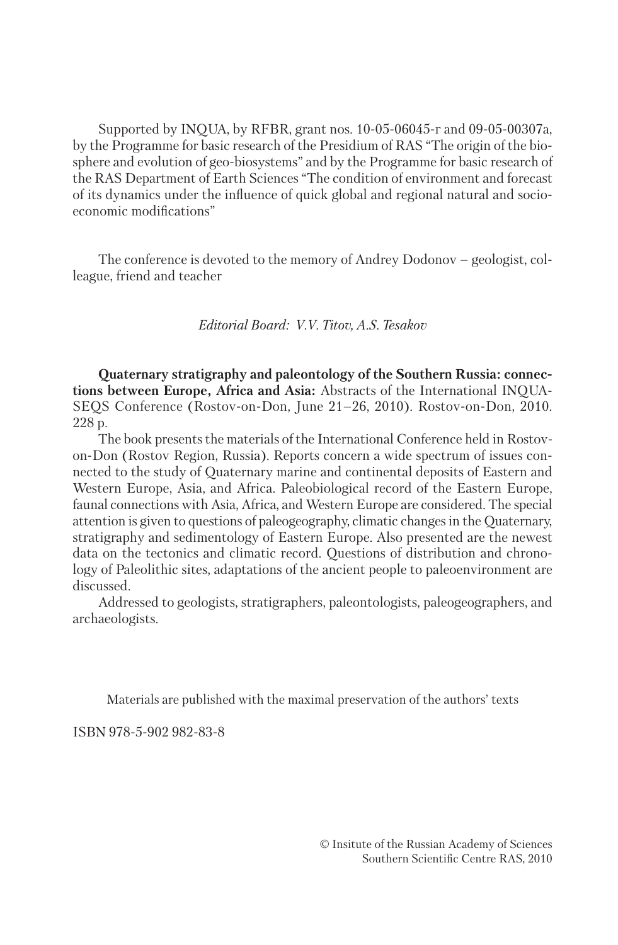Supported by INQUA, by RFBR, grant nos. 10-05-06045-г and 09-05-00307a, by the Programme for basic research of the Presidium of RAS "The origin of the biosphere and evolution of geo-biosystems" and by the Programme for basic research of the RAS Department of Earth Sciences "The condition of environment and forecast of its dynamics under the influence of quick global and regional natural and socioeconomic modifications"

The conference is devoted to the memory of Andrey Dodonov – geologist, colleague, friend and teacher

*Editorial Board: V.V. Titov, A.S. Tesakov*

**Quaternary stratigraphy and paleontology of the Southern Russia: connections between Europe, Africa and Asia:** Abstracts of the International INQUA-SEQS Conference (Rostov-on-Don, June 21–26, 2010). Rostov-on-Don, 2010. 228 p.

The book presents the materials of the International Conference held in Rostovon-Don (Rostov Region, Russia). Reports concern a wide spectrum of issues connected to the study of Quaternary marine and continental deposits of Eastern and Western Europe, Asia, and Africa. Paleobiological record of the Eastern Europe, faunal connections with Asia, Africa, and Western Europe are considered. The special attention is given to questions of paleogeography, climatic changes in the Quaternary, stratigraphy and sedimentology of Eastern Europe. Also presented are the newest data on the tectonics and climatic record. Questions of distribution and chronology of Paleolithic sites, adaptations of the ancient people to paleoenvironment are discussed.

Addressed to geologists, stratigraphers, paleontologists, paleogeographers, and archaeologists.

Materials are published with the maximal preservation of the authors' texts

ISBN 978-5-902 982-83-8